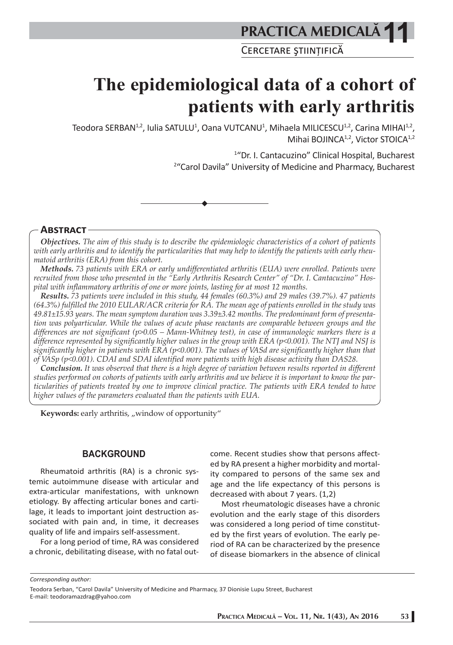CERCETARE ŞTIINȚIFICĂ

# **The epidemiological data of a cohort of patients with early arthritis**

Teodora SERBAN<sup>1,2</sup>, Iulia SATULU<sup>1</sup>, Oana VUTCANU<sup>1</sup>, Mihaela MILICESCU<sup>1,2</sup>, Carina MIHAI<sup>1,2</sup>, Mihai BOJINCA<sup>1,2</sup>, Victor STOICA<sup>1,2</sup>

> 1 "Dr. I. Cantacuzino" Clinical Hospital, Bucharest 2 "Carol Davila" University of Medicine and Pharmacy, Bucharest

**ABSTRACT**

*Objectives. The aim of this study is to describe the epidemiologic characteristics of a cohort of patients with early arthritis and to identify the particularities that may help to identify the patients with early rheumatoid arthritis (ERA) from this cohort.*

*Methods. 73 patients with ERA or early undifferentiated arthritis (EUA) were enrolled. Patients were recruited from those who presented in the "Early Arthritis Research Center" of "Dr. I. Cantacuzino" Hospital with inflammatory arthritis of one or more joints, lasting for at most 12 months.*

*Results. 73 patients were included in this study, 44 females (60.3%) and 29 males (39.7%). 47 patients (64.3%) fulfilled the 2010 EULAR/ACR criteria for RA. The mean age of patients enrolled in the study was 49.81±15.93 years. The mean symptom duration was 3.39±3.42 months. The predominant form of presentation was polyarticular. While the values of acute phase reactants are comparable between groups and the differences are not significant (p>0.05 – Mann-Whitney test), in case of immunologic markers there is a difference represented by significantly higher values in the group with ERA (p<0.001). The NTJ and NSJ is significantly higher in patients with ERA (p<0.001). The values of VASd are significantly higher than that of VASp (p<0.001). CDAI and SDAI identified more patients with high disease activity than DAS28.*

*Conclusion. It was observed that there is a high degree of variation between results reported in different studies performed on cohorts of patients with early arthritis and we believe it is important to know the particularities of patients treated by one to improve clinical practice. The patients with ERA tended to have higher values of the parameters evaluated than the patients with EUA.*

Keywords: early arthritis, "window of opportunity"

#### **BACKGROUND**

Rheumatoid arthritis (RA) is a chronic systemic autoimmune disease with articular and extra-articular manifestations, with unknown etiology. By affecting articular bones and cartilage, it leads to important joint destruction associated with pain and, in time, it decreases quality of life and impairs self-assessment.

For a long period of time, RA was considered a chronic, debilitating disease, with no fatal outcome. Recent studies show that persons affected by RA present a higher morbidity and mortality compared to persons of the same sex and age and the life expectancy of this persons is decreased with about 7 years. (1,2)

Most rheumatologic diseases have a chronic evolution and the early stage of this disorders was considered a long period of time constituted by the first years of evolution. The early period of RA can be characterized by the presence of disease biomarkers in the absence of clinical

*Corresponding author:* 

Teodora Serban, "Carol Davila" University of Medicine and Pharmacy, 37 Dionisie Lupu Street, Bucharest E-mail: teodoramazdrag@yahoo.com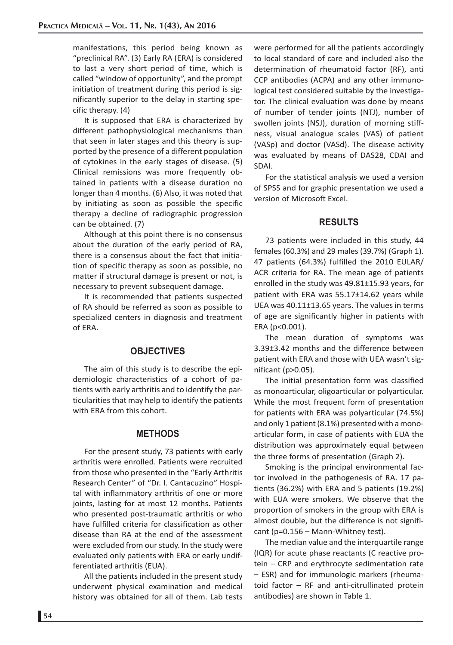manifestations, this period being known as "preclinical RA". (3) Early RA (ERA) is considered to last a very short period of time, which is called "window of opportunity", and the prompt initiation of treatment during this period is significantly superior to the delay in starting specific therapy. (4)

It is supposed that ERA is characterized by different pathophysiological mechanisms than that seen in later stages and this theory is supported by the presence of a different population of cytokines in the early stages of disease. (5) Clinical remissions was more frequently obtained in patients with a disease duration no longer than 4 months. (6) Also, it was noted that by initiating as soon as possible the specific therapy a decline of radiographic progression can be obtained. (7)

Although at this point there is no consensus about the duration of the early period of RA, there is a consensus about the fact that initiation of specific therapy as soon as possible, no matter if structural damage is present or not, is necessary to prevent subsequent damage.

It is recommended that patients suspected of RA should be referred as soon as possible to specialized centers in diagnosis and treatment of ERA.

# **OBJECTIVES**

The aim of this study is to describe the epidemiologic characteristics of a cohort of patients with early arthritis and to identify the particularities that may help to identify the patients with ERA from this cohort.

### **METHODS**

For the present study, 73 patients with early arthritis were enrolled. Patients were recruited from those who presented in the "Early Arthritis Research Center" of "Dr. I. Cantacuzino" Hospital with inflammatory arthritis of one or more joints, lasting for at most 12 months. Patients who presented post-traumatic arthritis or who have fulfilled criteria for classification as other disease than RA at the end of the assessment were excluded from our study. In the study were evaluated only patients with ERA or early undifferentiated arthritis (EUA).

All the patients included in the present study underwent physical examination and medical history was obtained for all of them. Lab tests

were performed for all the patients accordingly to local standard of care and included also the determination of rheumatoid factor (RF), anti CCP antibodies (ACPA) and any other immunological test considered suitable by the investigator. The clinical evaluation was done by means of number of tender joints (NTJ), number of swollen joints (NSJ), duration of morning stiffness, visual analogue scales (VAS) of patient (VASp) and doctor (VASd). The disease activity was evaluated by means of DAS28, CDAI and SDAI.

For the statistical analysis we used a version of SPSS and for graphic presentation we used a version of Microsoft Excel.

# **RESULTS**

73 patients were included in this study, 44 females (60.3%) and 29 males (39.7%) (Graph 1). 47 patients (64.3%) fulfilled the 2010 EULAR/ ACR criteria for RA. The mean age of patients enrolled in the study was 49.81±15.93 years, for patient with ERA was 55.17±14.62 years while UEA was 40.11±13.65 years. The values in terms of age are significantly higher in patients with ERA (p<0.001).

The mean duration of symptoms was 3.39±3.42 months and the difference between patient with ERA and those with UEA wasn't significant (p>0.05).

The initial presentation form was classified as monoarticular, oligoarticular or polyarticular. While the most frequent form of presentation for patients with ERA was polyarticular (74.5%) and only 1 patient (8.1%) presented with a monoarticular form, in case of patients with EUA the distribution was approximately equal between the three forms of presentation (Graph 2).

Smoking is the principal environmental factor involved in the pathogenesis of RA. 17 patients (36.2%) with ERA and 5 patients (19.2%) with EUA were smokers. We observe that the proportion of smokers in the group with ERA is almost double, but the difference is not significant (p=0.156 – Mann-Whitney test).

The median value and the interquartile range (IQR) for acute phase reactants (C reactive protein – CRP and erythrocyte sedimentation rate – ESR) and for immunologic markers (rheumatoid factor – RF and anti-citrullinated protein antibodies) are shown in Table 1.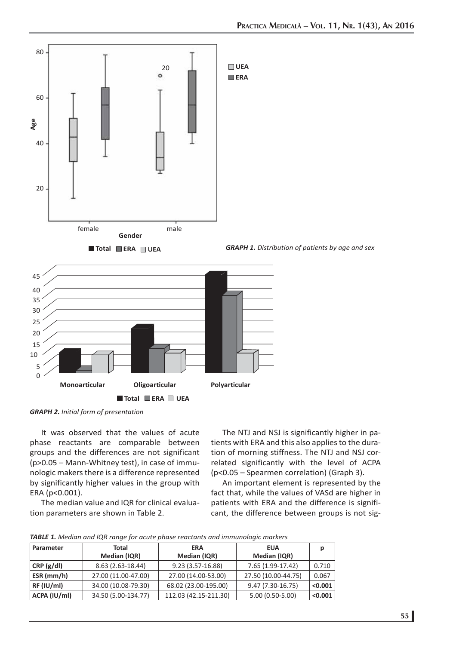

*GRAPH 2. Initial form of presentation*

It was observed that the values of acute phase reactants are comparable between groups and the differences are not significant (p>0.05 – Mann-Whitney test), in case of immunologic makers there is a difference represented by significantly higher values in the group with ERA (p<0.001).

The median value and IQR for clinical evaluation parameters are shown in Table 2.

The NTJ and NSJ is significantly higher in patients with ERA and this also applies to the duration of morning stiffness. The NTJ and NSJ correlated significantly with the level of ACPA (p<0.05 – Spearmen correlation) (Graph 3).

An important element is represented by the fact that, while the values of VASd are higher in patients with ERA and the difference is significant, the difference between groups is not sig-

|  |  |  |  | TABLE 1. Median and IQR range for acute phase reactants and immunologic markers |  |
|--|--|--|--|---------------------------------------------------------------------------------|--|
|  |  |  |  |                                                                                 |  |

| Parameter<br><b>Total</b><br>Median (IQR) |                     | <b>ERA</b><br>Median (IQR) | <b>EUA</b><br>Median (IQR) |         |
|-------------------------------------------|---------------------|----------------------------|----------------------------|---------|
| CRP(g/dl)                                 | 8.63 (2.63-18.44)   | 9.23 (3.57-16.88)          | 7.65 (1.99-17.42)          | 0.710   |
| $ESR$ (mm/h)                              | 27.00 (11.00-47.00) | 27.00 (14.00-53.00)        | 27.50 (10.00-44.75)        | 0.067   |
| RF (IU/ml)                                | 34.00 (10.08-79.30) | 68.02 (23.00-195.00)       | $9.47(7.30-16.75)$         | < 0.001 |
| ACPA (IU/ml)                              | 34.50 (5.00-134.77) | 112.03 (42.15-211.30)      | 5.00 (0.50-5.00)           | < 0.001 |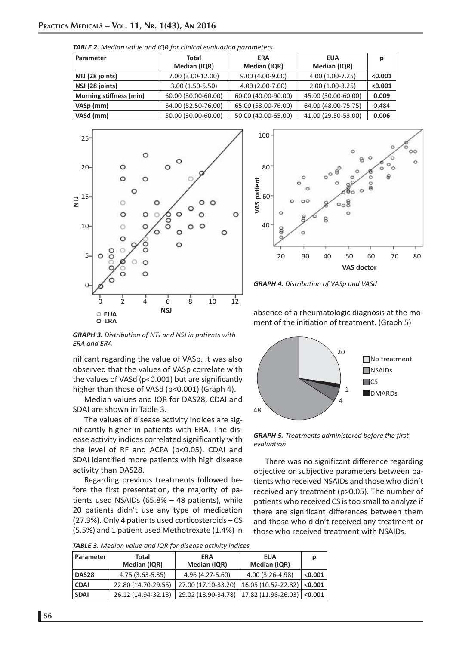| Parameter               | Total               | <b>ERA</b>          | <b>EUA</b>          | D       |  |  |
|-------------------------|---------------------|---------------------|---------------------|---------|--|--|
|                         | Median (IQR)        | Median (IQR)        | Median (IQR)        |         |  |  |
| NTJ (28 joints)         | 7.00 (3.00-12.00)   | $9.00(4.00-9.00)$   | 4.00 (1.00-7.25)    | < 0.001 |  |  |
| NSJ (28 joints)         | $3.00(1.50-5.50)$   | 4.00 (2.00-7.00)    | $2.00(1.00-3.25)$   | < 0.001 |  |  |
| Morning stiffness (min) | 60.00 (30.00-60.00) | 60.00 (40.00-90.00) | 45.00 (30.00-60.00) | 0.009   |  |  |
| VASp (mm)               | 64.00 (52.50-76.00) | 65.00 (53.00-76.00) | 64.00 (48.00-75.75) | 0.484   |  |  |
| VASd (mm)               | 50.00 (30.00-60.00) | 50.00 (40.00-65.00) | 41.00 (29.50-53.00) | 0.006   |  |  |

*TABLE 2. Median value and IQR for clinical evaluation parameters*





*GRAPH 4. Distribution of VASp and VASd*

*GRAPH 3. Distribution of NTJ and NSJ in patients with ERA and ERA*

nificant regarding the value of VASp. It was also observed that the values of VASp correlate with the values of VASd (p<0.001) but are significantly higher than those of VASd (p<0.001) (Graph 4).

Median values and IQR for DAS28, CDAI and SDAI are shown in Table 3.

The values of disease activity indices are significantly higher in patients with ERA. The disease activity indices correlated significantly with the level of RF and ACPA (p<0.05). CDAI and SDAI identified more patients with high disease activity than DAS28.

Regarding previous treatments followed before the first presentation, the majority of patients used NSAIDs (65.8% – 48 patients), while 20 patients didn't use any type of medication (27.3%). Only 4 patients used corticosteroids – CS (5.5%) and 1 patient used Methotrexate (1.4%) in

absence of a rheumatologic diagnosis at the moment of the initiation of treatment. (Graph 5)



*GRAPH 5. Treatments administered before the first evaluation*

There was no significant difference regarding objective or subjective parameters between patients who received NSAIDs and those who didn't received any treatment (p>0.05). The number of patients who received CS is too small to analyze if there are significant differences between them and those who didn't received any treatment or those who received treatment with NSAIDs.

| TABLE 3. Median value and IQR for disease activity indices |  |
|------------------------------------------------------------|--|
|------------------------------------------------------------|--|

| Parameter   | Total<br>Median (IQR) | <b>ERA</b><br>Median (IQR) | <b>EUA</b><br>Median (IQR)                           | р       |
|-------------|-----------------------|----------------------------|------------------------------------------------------|---------|
| DAS28       | 4.75 (3.63-5.35)      | 4.96 (4.27-5.60)           | 4.00 (3.26-4.98)                                     | < 0.001 |
| <b>CDAI</b> | 22.80 (14.70-29.55)   | 27.00 (17.10-33.20)        | $ 16.05(10.52-22.82) $                               | < 0.001 |
| <b>SDAI</b> | 26.12 (14.94-32.13)   |                            | 29.02 (18.90-34.78)   17.82 (11.98-26.03) $ $ <0.001 |         |